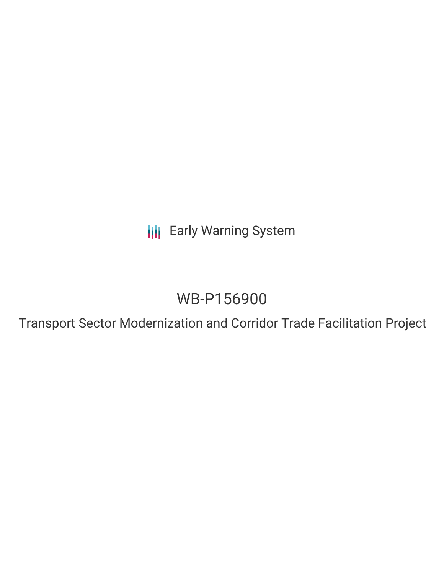**III** Early Warning System

# WB-P156900

Transport Sector Modernization and Corridor Trade Facilitation Project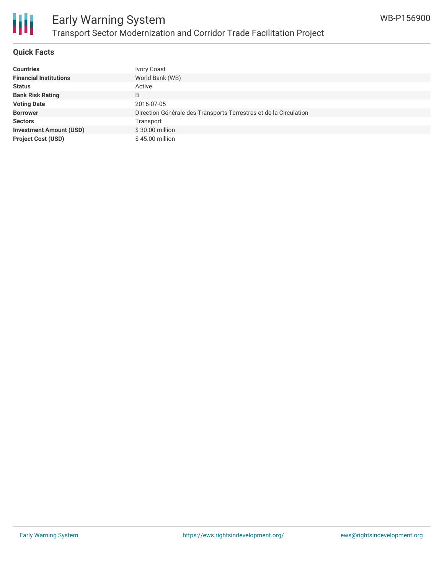

#### **Quick Facts**

| <b>Countries</b>               | Ivory Coast                                                       |
|--------------------------------|-------------------------------------------------------------------|
| <b>Financial Institutions</b>  | World Bank (WB)                                                   |
| <b>Status</b>                  | Active                                                            |
| <b>Bank Risk Rating</b>        | B                                                                 |
| <b>Voting Date</b>             | 2016-07-05                                                        |
| <b>Borrower</b>                | Direction Générale des Transports Terrestres et de la Circulation |
| <b>Sectors</b>                 | Transport                                                         |
| <b>Investment Amount (USD)</b> | \$30.00 million                                                   |
| <b>Project Cost (USD)</b>      | \$45.00 million                                                   |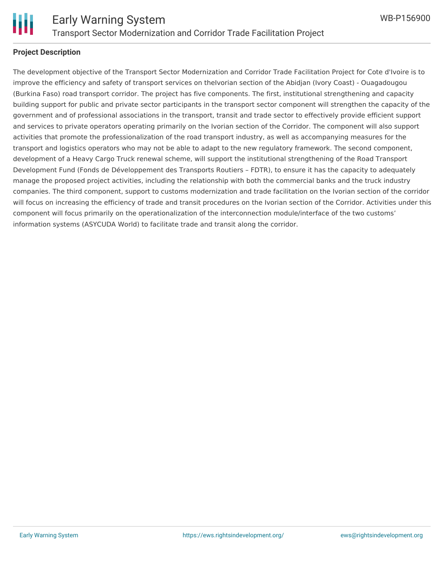

#### **Project Description**

The development objective of the Transport Sector Modernization and Corridor Trade Facilitation Project for Cote d'Ivoire is to improve the efficiency and safety of transport services on theIvorian section of the Abidjan (Ivory Coast) - Ouagadougou (Burkina Faso) road transport corridor. The project has five components. The first, institutional strengthening and capacity building support for public and private sector participants in the transport sector component will strengthen the capacity of the government and of professional associations in the transport, transit and trade sector to effectively provide efficient support and services to private operators operating primarily on the Ivorian section of the Corridor. The component will also support activities that promote the professionalization of the road transport industry, as well as accompanying measures for the transport and logistics operators who may not be able to adapt to the new regulatory framework. The second component, development of a Heavy Cargo Truck renewal scheme, will support the institutional strengthening of the Road Transport Development Fund (Fonds de Développement des Transports Routiers – FDTR), to ensure it has the capacity to adequately manage the proposed project activities, including the relationship with both the commercial banks and the truck industry companies. The third component, support to customs modernization and trade facilitation on the Ivorian section of the corridor will focus on increasing the efficiency of trade and transit procedures on the Ivorian section of the Corridor. Activities under this component will focus primarily on the operationalization of the interconnection module/interface of the two customs' information systems (ASYCUDA World) to facilitate trade and transit along the corridor.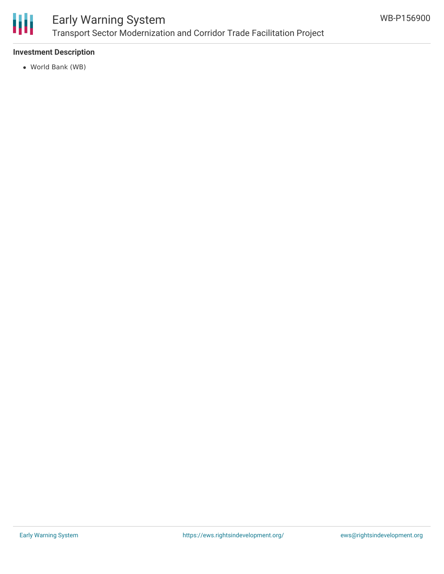

### Early Warning System Transport Sector Modernization and Corridor Trade Facilitation Project

#### **Investment Description**

World Bank (WB)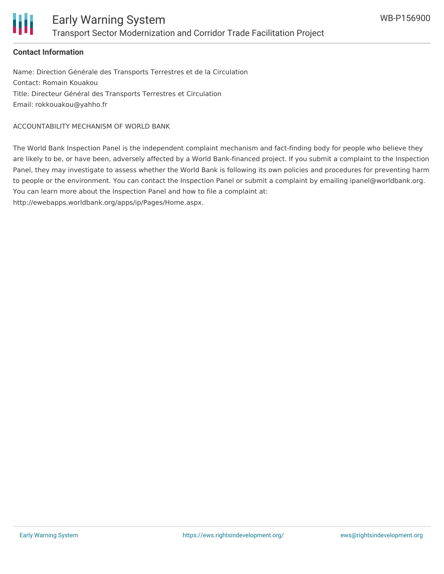

#### **Contact Information**

Name: Direction Générale des Transports Terrestres et de la Circulation Contact: Romain Kouakou Title: Directeur Général des Transports Terrestres et Circulation Email: rokkouakou@yahho.fr

ACCOUNTABILITY MECHANISM OF WORLD BANK

The World Bank Inspection Panel is the independent complaint mechanism and fact-finding body for people who believe they are likely to be, or have been, adversely affected by a World Bank-financed project. If you submit a complaint to the Inspection Panel, they may investigate to assess whether the World Bank is following its own policies and procedures for preventing harm to people or the environment. You can contact the Inspection Panel or submit a complaint by emailing ipanel@worldbank.org. You can learn more about the Inspection Panel and how to file a complaint at:

http://ewebapps.worldbank.org/apps/ip/Pages/Home.aspx.